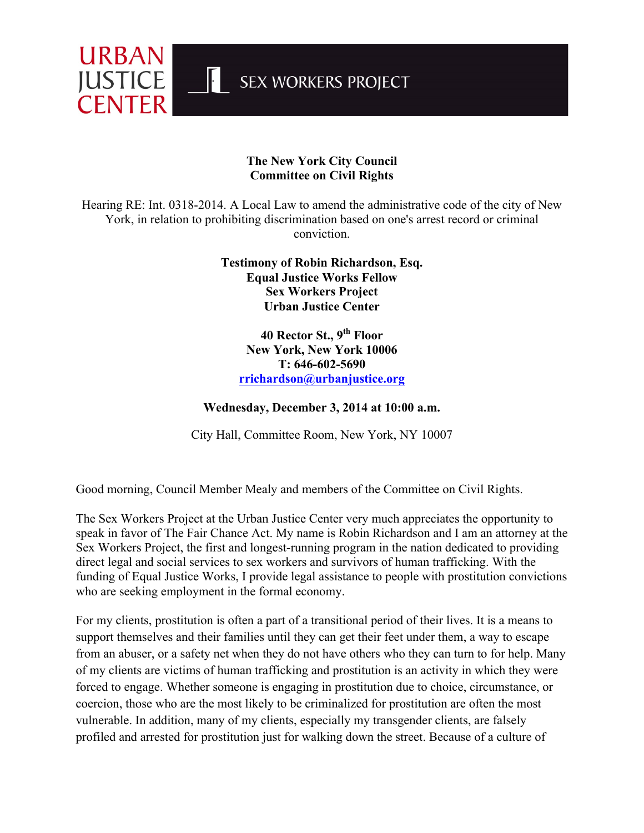

## **The New York City Council Committee on Civil Rights**

Hearing RE: Int. 0318-2014. A Local Law to amend the administrative code of the city of New York, in relation to prohibiting discrimination based on one's arrest record or criminal conviction.

> **Testimony of Robin Richardson, Esq. Equal Justice Works Fellow Sex Workers Project Urban Justice Center**

**40 Rector St., 9th Floor New York, New York 10006 T: 646-602-5690 rrichardson@urbanjustice.org**

## **Wednesday, December 3, 2014 at 10:00 a.m.**

City Hall, Committee Room, New York, NY 10007

Good morning, Council Member Mealy and members of the Committee on Civil Rights.

The Sex Workers Project at the Urban Justice Center very much appreciates the opportunity to speak in favor of The Fair Chance Act. My name is Robin Richardson and I am an attorney at the Sex Workers Project, the first and longest-running program in the nation dedicated to providing direct legal and social services to sex workers and survivors of human trafficking. With the funding of Equal Justice Works, I provide legal assistance to people with prostitution convictions who are seeking employment in the formal economy.

For my clients, prostitution is often a part of a transitional period of their lives. It is a means to support themselves and their families until they can get their feet under them, a way to escape from an abuser, or a safety net when they do not have others who they can turn to for help. Many of my clients are victims of human trafficking and prostitution is an activity in which they were forced to engage. Whether someone is engaging in prostitution due to choice, circumstance, or coercion, those who are the most likely to be criminalized for prostitution are often the most vulnerable. In addition, many of my clients, especially my transgender clients, are falsely profiled and arrested for prostitution just for walking down the street. Because of a culture of